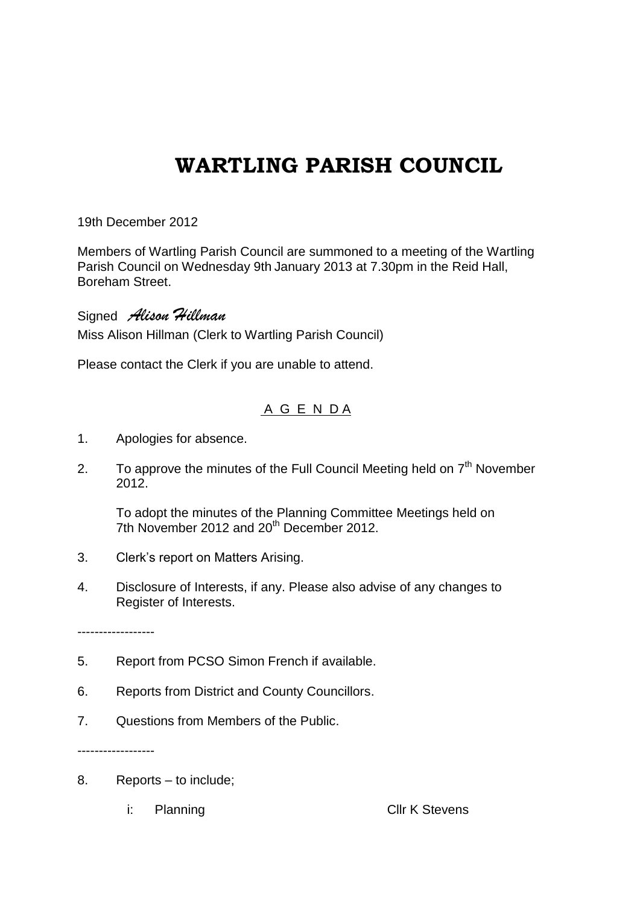## **WARTLING PARISH COUNCIL**

19th December 2012

Members of Wartling Parish Council are summoned to a meeting of the Wartling Parish Council on Wednesday 9th January 2013 at 7.30pm in the Reid Hall, Boreham Street.

Signed *Alison Hillman* Miss Alison Hillman (Clerk to Wartling Parish Council)

Please contact the Clerk if you are unable to attend.

## A G E N D A

- 1. Apologies for absence.
- 2. To approve the minutes of the Full Council Meeting held on  $7<sup>th</sup>$  November 2012.

To adopt the minutes of the Planning Committee Meetings held on 7th November 2012 and 20<sup>th</sup> December 2012.

- 3. Clerk's report on Matters Arising.
- 4. Disclosure of Interests, if any. Please also advise of any changes to Register of Interests.

------------------

- 5. Report from PCSO Simon French if available.
- 6. Reports from District and County Councillors.
- 7. Questions from Members of the Public.

------------------

- 8. Reports to include;
	- i: Planning Cllr K Stevens